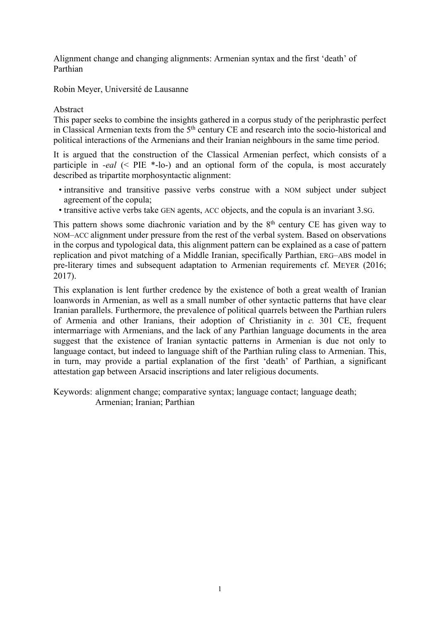Alignment change and changing alignments: Armenian syntax and the first 'death' of Parthian

Robin Meyer, Université de Lausanne

## Abstract

This paper seeks to combine the insights gathered in a corpus study of the periphrastic perfect in Classical Armenian texts from the 5th century CE and research into the socio-historical and political interactions of the Armenians and their Iranian neighbours in the same time period.

It is argued that the construction of the Classical Armenian perfect, which consists of a participle in *-eal* (< PIE \*-lo-) and an optional form of the copula, is most accurately described as tripartite morphosyntactic alignment:

- intransitive and transitive passive verbs construe with a NOM subject under subject agreement of the copula;
- transitive active verbs take GEN agents, ACC objects, and the copula is an invariant 3.SG.

This pattern shows some diachronic variation and by the  $8<sup>th</sup>$  century CE has given way to NOM–ACC alignment under pressure from the rest of the verbal system. Based on observations in the corpus and typological data, this alignment pattern can be explained as a case of pattern replication and pivot matching of a Middle Iranian, specifically Parthian, ERG–ABS model in pre-literary times and subsequent adaptation to Armenian requirements cf. MEYER (2016; 2017).

This explanation is lent further credence by the existence of both a great wealth of Iranian loanwords in Armenian, as well as a small number of other syntactic patterns that have clear Iranian parallels. Furthermore, the prevalence of political quarrels between the Parthian rulers of Armenia and other Iranians, their adoption of Christianity in *c.* 301 CE, frequent intermarriage with Armenians, and the lack of any Parthian language documents in the area suggest that the existence of Iranian syntactic patterns in Armenian is due not only to language contact, but indeed to language shift of the Parthian ruling class to Armenian. This, in turn, may provide a partial explanation of the first 'death' of Parthian, a significant attestation gap between Arsacid inscriptions and later religious documents.

Keywords: alignment change; comparative syntax; language contact; language death; Armenian; Iranian; Parthian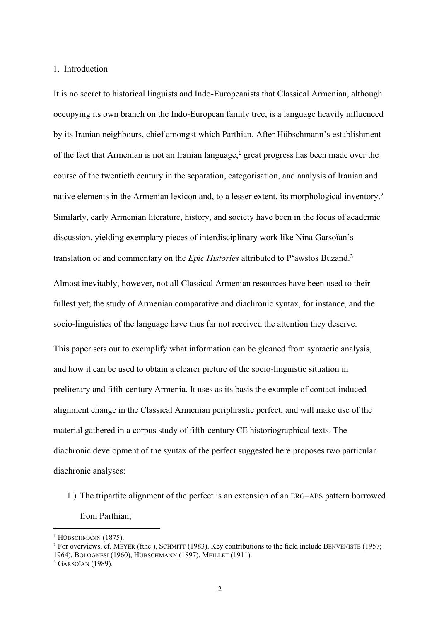## 1. Introduction

It is no secret to historical linguists and Indo-Europeanists that Classical Armenian, although occupying its own branch on the Indo-European family tree, is a language heavily influenced by its Iranian neighbours, chief amongst which Parthian. After Hübschmann's establishment of the fact that Armenian is not an Iranian language,<sup>1</sup> great progress has been made over the course of the twentieth century in the separation, categorisation, and analysis of Iranian and native elements in the Armenian lexicon and, to a lesser extent, its morphological inventory.<sup>2</sup> Similarly, early Armenian literature, history, and society have been in the focus of academic discussion, yielding exemplary pieces of interdisciplinary work like Nina Garsoïan's translation of and commentary on the *Epic Histories* attributed to P'awstos Buzand. 3

Almost inevitably, however, not all Classical Armenian resources have been used to their fullest yet; the study of Armenian comparative and diachronic syntax, for instance, and the socio-linguistics of the language have thus far not received the attention they deserve.

This paper sets out to exemplify what information can be gleaned from syntactic analysis, and how it can be used to obtain a clearer picture of the socio-linguistic situation in preliterary and fifth-century Armenia. It uses as its basis the example of contact-induced alignment change in the Classical Armenian periphrastic perfect, and will make use of the material gathered in a corpus study of fifth-century CE historiographical texts. The diachronic development of the syntax of the perfect suggested here proposes two particular diachronic analyses:

1.) The tripartite alignment of the perfect is an extension of an ERG–ABS pattern borrowed from Parthian;

<sup>&</sup>lt;sup>1</sup> HÜBSCHMANN (1875).

<sup>2</sup> For overviews, cf. MEYER (fthc.), SCHMITT (1983). Key contributions to the field include BENVENISTE (1957; 1964), BOLOGNESI (1960), HÜBSCHMANN (1897), MEILLET (1911).

 $3$  GARSOÏAN (1989).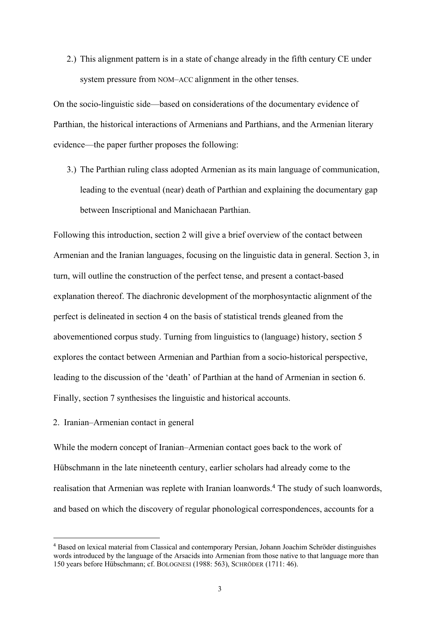2.) This alignment pattern is in a state of change already in the fifth century CE under system pressure from NOM–ACC alignment in the other tenses.

On the socio-linguistic side—based on considerations of the documentary evidence of Parthian, the historical interactions of Armenians and Parthians, and the Armenian literary evidence—the paper further proposes the following:

3.) The Parthian ruling class adopted Armenian as its main language of communication, leading to the eventual (near) death of Parthian and explaining the documentary gap between Inscriptional and Manichaean Parthian.

Following this introduction, section 2 will give a brief overview of the contact between Armenian and the Iranian languages, focusing on the linguistic data in general. Section 3, in turn, will outline the construction of the perfect tense, and present a contact-based explanation thereof. The diachronic development of the morphosyntactic alignment of the perfect is delineated in section 4 on the basis of statistical trends gleaned from the abovementioned corpus study. Turning from linguistics to (language) history, section 5 explores the contact between Armenian and Parthian from a socio-historical perspective, leading to the discussion of the 'death' of Parthian at the hand of Armenian in section 6. Finally, section 7 synthesises the linguistic and historical accounts.

2. Iranian–Armenian contact in general

While the modern concept of Iranian–Armenian contact goes back to the work of Hübschmann in the late nineteenth century, earlier scholars had already come to the realisation that Armenian was replete with Iranian loanwords.<sup>4</sup> The study of such loanwords, and based on which the discovery of regular phonological correspondences, accounts for a

<sup>4</sup> Based on lexical material from Classical and contemporary Persian, Johann Joachim Schröder distinguishes words introduced by the language of the Arsacids into Armenian from those native to that language more than 150 years before Hübschmann; cf. BOLOGNESI (1988: 563), SCHRÖDER (1711: 46).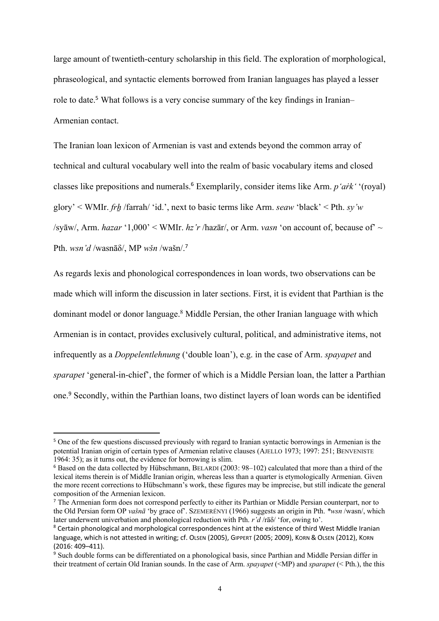large amount of twentieth-century scholarship in this field. The exploration of morphological, phraseological, and syntactic elements borrowed from Iranian languages has played a lesser role to date.<sup>5</sup> What follows is a very concise summary of the key findings in Iranian– Armenian contact.

The Iranian loan lexicon of Armenian is vast and extends beyond the common array of technical and cultural vocabulary well into the realm of basic vocabulary items and closed classes like prepositions and numerals.<sup>6</sup> Exemplarily, consider items like Arm. *p'aṙk'* '(royal) glory' < WMIr. *frẖ* /farrah/ 'id.', next to basic terms like Arm. *seaw* 'black' < Pth. *sy'w* /sy $\bar{a}$ w/, Arm. *hazar* '1,000' < WMIr. *hz'r* /haz $\bar{a}$ r/, or Arm. *vasn* 'on account of, because of' ~ Pth. *wsn'd* /wasnāδ/, MP *wšn* /wašn/. 7

As regards lexis and phonological correspondences in loan words, two observations can be made which will inform the discussion in later sections. First, it is evident that Parthian is the dominant model or donor language.<sup>8</sup> Middle Persian, the other Iranian language with which Armenian is in contact, provides exclusively cultural, political, and administrative items, not infrequently as a *Doppelentlehnung* ('double loan'), e.g. in the case of Arm. *spayapet* and *sparapet* 'general-in-chief', the former of which is a Middle Persian loan, the latter a Parthian one.<sup>9</sup> Secondly, within the Parthian loans, two distinct layers of loan words can be identified

<sup>&</sup>lt;sup>5</sup> One of the few questions discussed previously with regard to Iranian syntactic borrowings in Armenian is the potential Iranian origin of certain types of Armenian relative clauses (AJELLO 1973; 1997: 251; BENVENISTE 1964: 35); as it turns out, the evidence for borrowing is slim.

<sup>6</sup> Based on the data collected by Hübschmann, BELARDI (2003: 98–102) calculated that more than a third of the lexical items therein is of Middle Iranian origin, whereas less than a quarter is etymologically Armenian. Given the more recent corrections to Hübschmann's work, these figures may be imprecise, but still indicate the general composition of the Armenian lexicon.

<sup>&</sup>lt;sup>7</sup> The Armenian form does not correspond perfectly to either its Parthian or Middle Persian counterpart, nor to the Old Persian form OP *vašnā* 'by grace of'. SZEMERÉNYI (1966) suggests an origin in Pth. *\*wsn* /wasn/, which later underwent univerbation and phonological reduction with Pth. *r'd* /rāδ/ 'for, owing to'.

<sup>&</sup>lt;sup>8</sup> Certain phonological and morphological correspondences hint at the existence of third West Middle Iranian language, which is not attested in writing; cf. OLSEN (2005), GIPPERT (2005; 2009), KORN & OLSEN (2012), KORN (2016: 409–411).

<sup>9</sup> Such double forms can be differentiated on a phonological basis, since Parthian and Middle Persian differ in their treatment of certain Old Iranian sounds. In the case of Arm. *spayapet* (<MP) and *sparapet* (< Pth.), the this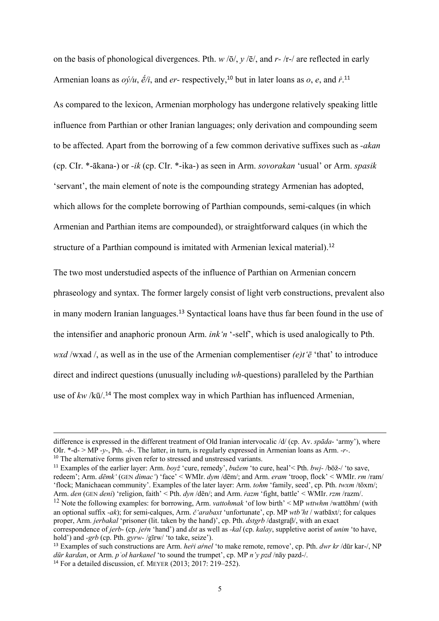on the basis of phonological divergences. Pth. *w* /ō/, *y* /ē/, and *r-* /r-/ are reflected in early Armenian loans as *oý/u*, *ḗ/i*, and *er-* respectively,<sup>10</sup> but in later loans as *o*, *e*, and *ṙ*. 11

As compared to the lexicon, Armenian morphology has undergone relatively speaking little influence from Parthian or other Iranian languages; only derivation and compounding seem to be affected. Apart from the borrowing of a few common derivative suffixes such as *-akan* (cp. CIr. \*-ākana-) or *-ik* (cp. CIr. \*-ika-) as seen in Arm. *sovorakan* 'usual' or Arm. *spasik* 'servant', the main element of note is the compounding strategy Armenian has adopted, which allows for the complete borrowing of Parthian compounds, semi-calques (in which Armenian and Parthian items are compounded), or straightforward calques (in which the structure of a Parthian compound is imitated with Armenian lexical material).<sup>12</sup>

The two most understudied aspects of the influence of Parthian on Armenian concern phraseology and syntax. The former largely consist of light verb constructions, prevalent also in many modern Iranian languages. <sup>13</sup> Syntactical loans have thus far been found in the use of the intensifier and anaphoric pronoun Arm. *ink'n* '-self', which is used analogically to Pth. *wxd* /wxad /, as well as in the use of the Armenian complementiser *(e)t'ē* 'that' to introduce direct and indirect questions (unusually including *wh-*questions) paralleled by the Parthian use of *kw* /kū/.<sup>14</sup> The most complex way in which Parthian has influenced Armenian,

difference is expressed in the different treatment of Old Iranian intervocalic /d/ (cp. Av. *spāda*- 'army'), where OIr. \*-d- > MP *-y-*, Pth. *-δ-*. The latter, in turn, is regularly expressed in Armenian loans as Arm. *-r-*. <sup>10</sup> The alternative forms given refer to stressed and unstressed variants.

<sup>11</sup> Examples of the earlier layer: Arm. *boyž* 'cure, remedy', *bužem* 'to cure, heal'< Pth. *bwj-* /bōž-/ 'to save, redeem'; Arm. *dēmk'* (GEN *dimac'*) 'face' < WMIr. *dym* /dēm/; and Arm. *eram* 'troop, flock' < WMIr. *rm* /ram/ 'flock; Manichaean community'. Examples of the later layer: Arm. *tohm* 'family, seed', cp. Pth. *twxm* /tōxm/; Arm. *den* (GEN *deni*) 'religion, faith' < Pth. *dyn* /dēn/; and Arm. *ṙazm* 'fight, battle' < WMIr. *rzm* /razm/.

<sup>12</sup> Note the following examples: for borrowing, Arm. *vattohmak* 'of low birth' < MP *wttwhm* /wattōhm/ (with an optional suffix *-ak*); for semi-calques, Arm. *č'arabaxt* 'unfortunate', cp. MP *wtb'ht* / watbāxt/; for calques proper, Arm. *jerbakal* 'prisoner (lit. taken by the hand)', cp. Pth. *dstgrb* /dastgraβ/, with an exact correspondence of *jerb*- (cp. *jeṙn* 'hand') and *dst* as well as *-kal* (cp. *kalay*, suppletive aorist of *unim* 'to have, hold') and *-grb* (cp. Pth. *gyrw-* /gīrw/ 'to take, seize').

<sup>13</sup> Examples of such constructions are Arm. *heṙi aṙnel* 'to make remote, remove', cp. Pth. *dwr kr* /dūr kar-/, NP *dūr kardan*, or Arm. *pʿoł harkanel* 'to sound the trumpet', cp. MP *n'y pzd* /nāy pazd-/. <sup>14</sup> For a detailed discussion, cf. MEYER  $(2013; 2017; 219-252)$ .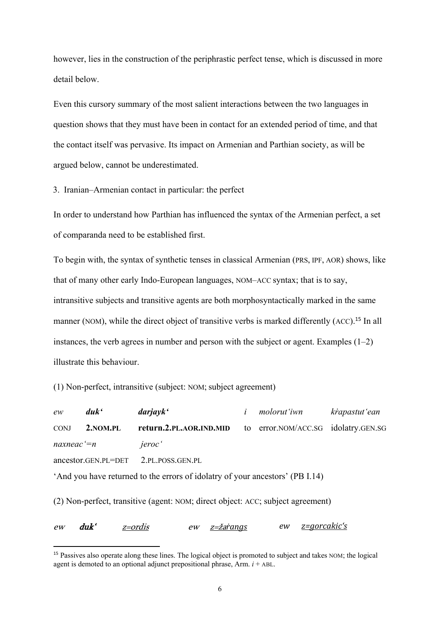however, lies in the construction of the periphrastic perfect tense, which is discussed in more detail below.

Even this cursory summary of the most salient interactions between the two languages in question shows that they must have been in contact for an extended period of time, and that the contact itself was pervasive. Its impact on Armenian and Parthian society, as will be argued below, cannot be underestimated.

3. Iranian–Armenian contact in particular: the perfect

In order to understand how Parthian has influenced the syntax of the Armenian perfect, a set of comparanda need to be established first.

To begin with, the syntax of synthetic tenses in classical Armenian (PRS, IPF, AOR) shows, like that of many other early Indo-European languages, NOM–ACC syntax; that is to say, intransitive subjects and transitive agents are both morphosyntactically marked in the same manner (NOM), while the direct object of transitive verbs is marked differently (ACC).<sup>15</sup> In all instances, the verb agrees in number and person with the subject or agent. Examples  $(1-2)$ illustrate this behaviour.

(1) Non-perfect, intransitive (subject: NOM; subject agreement)

*ew duk' darjayk' i molorut'iwn kṙapastut'ean* CONJ **2.NOM.PL return.2.PL.AOR.IND.MID** to error.NOM/ACC.SG idolatry.GEN.SG *naxneac'=n jeroc'* ancestor.GEN.PL=DET  $\overline{2}$ .PL. POSS.GEN.PL.

'And you have returned to the errors of idolatry of your ancestors' (PB I.14)

(2) Non-perfect, transitive (agent: NOM; direct object: ACC; subject agreement)

ew duk' z=ordis ew z=ža*ṙangs ew z=gorcakic's*

<sup>&</sup>lt;sup>15</sup> Passives also operate along these lines. The logical object is promoted to subject and takes NOM; the logical agent is demoted to an optional adjunct prepositional phrase, Arm.  $i + ABL$ .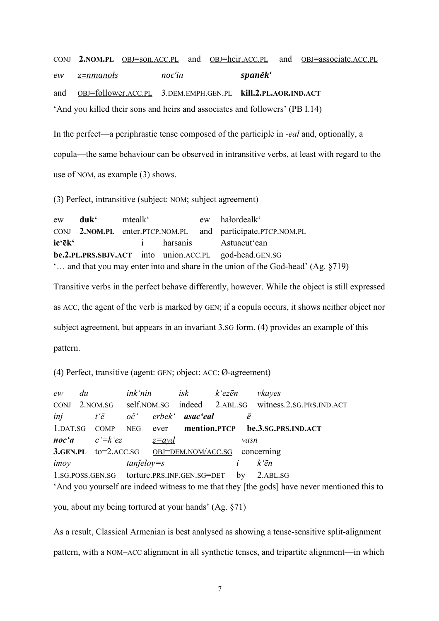CONJ **2.NOM.PL** OBJ=son.ACC.PL and OBJ=heir.ACC.PL and OBJ=associate.ACC.PL *ew z=nmanołs noc'in spanēk'* and OBJ=follower.ACC.PL 3.DEM.EMPH.GEN.PL **kill.2.PL.AOR.IND.ACT** 'And you killed their sons and heirs and associates and followers' (PB I.14)

In the perfect—a periphrastic tense composed of the participle in *-eal* and, optionally, a copula—the same behaviour can be observed in intransitive verbs, at least with regard to the use of NOM, as example (3) shows.

(3) Perfect, intransitive (subject: NOM; subject agreement)

ew **duk'** mtealk' ew hałordealk' CONJ **2.NOM.PL** enter.PTCP.NOM.PL and participate.PTCP.NOM.PL **ic'ēk'** i harsanis Astuacut'ean **be.2.PL.PRS.SBJV.ACT** into union.ACC.PL god-head.GEN.SG '… and that you may enter into and share in the union of the God-head' (Ag. §719)

Transitive verbs in the perfect behave differently, however. While the object is still expressed as ACC, the agent of the verb is marked by GEN; if a copula occurs, it shows neither object nor subject agreement, but appears in an invariant 3.SG form. (4) provides an example of this pattern.

(4) Perfect, transitive (agent: GEN; object: ACC; Ø-agreement)

*ew du ink'nin isk k'ezēn vkayes* CONJ 2.NOM.SG self.NOM.SG indeed 2.ABL.SG witness.2.SG.PRS.IND.ACT *inj t'ē oč' erbek' asac'eal ē* 1.DAT.SG COMP NEG ever **mention.PTCP be.3.SG.PRS.IND.ACT** *noc'a c'=k'ez z=ayd vasn* **3.GEN.PL** to=2.ACC.SG OBJ=DEM.NOM/ACC.SG concerning *imoy tanǰeloy=s i k'ēn* 1.SG.POSS.GEN.SG torture.PRS.INF.GEN.SG=DET by 2.ABL.SG 'And you yourself are indeed witness to me that they [the gods] have never mentioned this to

you, about my being tortured at your hands' (Ag. §71)

As a result, Classical Armenian is best analysed as showing a tense-sensitive split-alignment pattern, with a NOM–ACC alignment in all synthetic tenses, and tripartite alignment—in which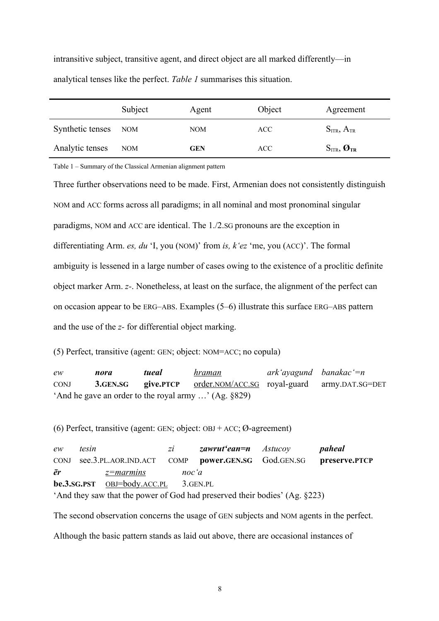intransitive subject, transitive agent, and direct object are all marked differently—in analytical tenses like the perfect. *Table 1* summarises this situation.

|                      | Subject | Agent      | Object | Agreement                         |
|----------------------|---------|------------|--------|-----------------------------------|
| Synthetic tenses NOM |         | <b>NOM</b> | ACC    | $S_{ITR}, A_{TR}$                 |
| Analytic tenses      | NOM     | <b>GEN</b> | ACC.   | $S_{ITR}$ , $\boldsymbol{O}_{TR}$ |

Table 1 – Summary of the Classical Armenian alignment pattern

Three further observations need to be made. First, Armenian does not consistently distinguish NOM and ACC forms across all paradigms; in all nominal and most pronominal singular paradigms, NOM and ACC are identical. The 1./2.SG pronouns are the exception in differentiating Arm. *es, du* 'I, you (NOM)' from *is, k'ez* 'me, you (ACC)'. The formal ambiguity is lessened in a large number of cases owing to the existence of a proclitic definite object marker Arm. *z-*. Nonetheless, at least on the surface, the alignment of the perfect can on occasion appear to be ERG–ABS. Examples (5–6) illustrate this surface ERG–ABS pattern and the use of the *z-* for differential object marking.

(5) Perfect, transitive (agent: GEN; object: NOM=ACC; no copula)

*ew nora tueal hraman ark'ayagund banakac'=n* CONJ **3.GEN.SG give.PTCP** order.NOM/ACC.SG royal-guard army.DAT.SG=DET 'And he gave an order to the royal army …' (Ag. §829)

(6) Perfect, transitive (agent: GEN; object:  $OBJ + ACC$ ;  $Ø$ -agreement)

*ew tesin zi zawrut'ean=n Astucoy paheal* CONJ see.3.PL.AOR.IND.ACT COMP **power.GEN.SG** God.GEN.SG **preserve.PTCP** *ēr z=marmins noc'a* **be.3.SG.PST** OBJ=body.ACC.PL 3.GEN.PL 'And they saw that the power of God had preserved their bodies' (Ag. §223)

The second observation concerns the usage of GEN subjects and NOM agents in the perfect.

Although the basic pattern stands as laid out above, there are occasional instances of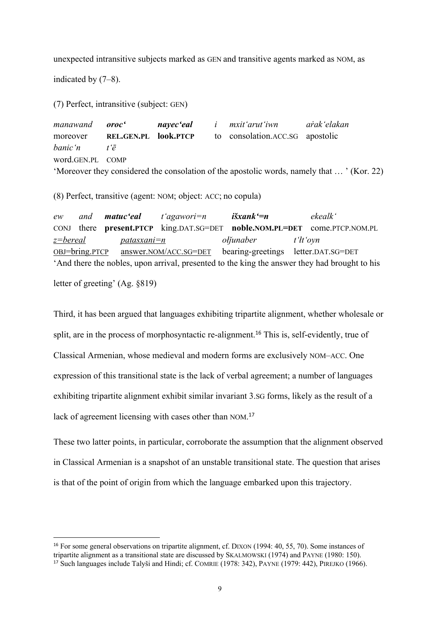unexpected intransitive subjects marked as GEN and transitive agents marked as NOM, as

indicated by (7–8).

(7) Perfect, intransitive (subject: GEN)

*manawand oroc' nayec'eal i mxit'arut'iwn aṙak'elakan* moreover **REL.GEN.PL look.PTCP** to consolation.ACC.SG apostolic *banic'n t'ē* word.GEN.PL COMP 'Moreover they considered the consolation of the apostolic words, namely that … ' (Kor. 22)

(8) Perfect, transitive (agent: NOM; object: ACC; no copula)

*ew and matuc'eal t'agawori=n išxank'=n ekealk'* CONJ there **present.PTCP** king.DAT.SG=DET **noble.NOM.PL=DET** come.PTCP.NOM.PL *z=bereal patasxani=n ołǰunaber t'łt'oyn* OBJ=bring.PTCP answer.NOM/ACC.SG=DET bearing-greetings letter.DAT.SG=DET 'And there the nobles, upon arrival, presented to the king the answer they had brought to his letter of greeting' (Ag. §819)

Third, it has been argued that languages exhibiting tripartite alignment, whether wholesale or split, are in the process of morphosyntactic re-alignment.<sup>16</sup> This is, self-evidently, true of Classical Armenian, whose medieval and modern forms are exclusively NOM–ACC. One expression of this transitional state is the lack of verbal agreement; a number of languages exhibiting tripartite alignment exhibit similar invariant 3.SG forms, likely as the result of a lack of agreement licensing with cases other than NOM.<sup>17</sup>

These two latter points, in particular, corroborate the assumption that the alignment observed in Classical Armenian is a snapshot of an unstable transitional state. The question that arises is that of the point of origin from which the language embarked upon this trajectory.

<sup>16</sup> For some general observations on tripartite alignment, cf. DIXON (1994: 40, 55, 70). Some instances of tripartite alignment as a transitional state are discussed by SKALMOWSKI (1974) and PAYNE (1980: 150). <sup>17</sup> Such languages include Talyši and Hindi; cf. COMRIE (1978: 342), PAYNE (1979: 442), PIREJKO (1966).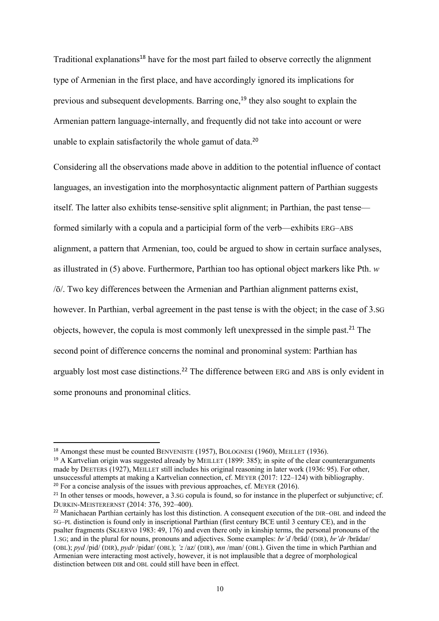Traditional explanations<sup>18</sup> have for the most part failed to observe correctly the alignment type of Armenian in the first place, and have accordingly ignored its implications for previous and subsequent developments. Barring one,<sup>19</sup> they also sought to explain the Armenian pattern language-internally, and frequently did not take into account or were unable to explain satisfactorily the whole gamut of data.<sup>20</sup>

Considering all the observations made above in addition to the potential influence of contact languages, an investigation into the morphosyntactic alignment pattern of Parthian suggests itself. The latter also exhibits tense-sensitive split alignment; in Parthian, the past tense formed similarly with a copula and a participial form of the verb—exhibits ERG–ABS alignment, a pattern that Armenian, too, could be argued to show in certain surface analyses, as illustrated in (5) above. Furthermore, Parthian too has optional object markers like Pth. *w* /ō/. Two key differences between the Armenian and Parthian alignment patterns exist, however. In Parthian, verbal agreement in the past tense is with the object; in the case of 3.SG objects, however, the copula is most commonly left unexpressed in the simple past.<sup>21</sup> The second point of difference concerns the nominal and pronominal system: Parthian has arguably lost most case distinctions.<sup>22</sup> The difference between ERG and ABS is only evident in some pronouns and pronominal clitics.

<sup>&</sup>lt;sup>18</sup> Amongst these must be counted BENVENISTE (1957), BOLOGNESI (1960), MEILLET (1936).

<sup>&</sup>lt;sup>19</sup> A Kartvelian origin was suggested already by MEILLET (1899: 385); in spite of the clear counterarguments made by DEETERS (1927), MEILLET still includes his original reasoning in later work (1936: 95). For other, unsuccessful attempts at making a Kartvelian connection, cf. MEYER (2017: 122–124) with bibliography.  $20$  For a concise analysis of the issues with previous approaches, cf. MEYER (2016).

<sup>&</sup>lt;sup>21</sup> In other tenses or moods, however, a 3.sG copula is found, so for instance in the pluperfect or subjunctive; cf. DURKIN-MEISTERERNST (2014: 376, 392–400).

<sup>&</sup>lt;sup>22</sup> Manichaean Parthian certainly has lost this distinction. A consequent execution of the DIR–OBL and indeed the SG–PL distinction is found only in inscriptional Parthian (first century BCE until 3 century CE), and in the psalter fragments (SKJÆRVØ 1983: 49, 176) and even there only in kinship terms, the personal pronouns of the 1.SG; and in the plural for nouns, pronouns and adjectives. Some examples: *br'd* /brād/ (DIR), *br'dr* /brādar/ (OBL); *pyd* /pid/ (DIR), *pydr* /pidar/ (OBL); *'z* /az/ (DIR), *mn* /man/ (OBL). Given the time in which Parthian and Armenian were interacting most actively, however, it is not implausible that a degree of morphological distinction between DIR and OBL could still have been in effect.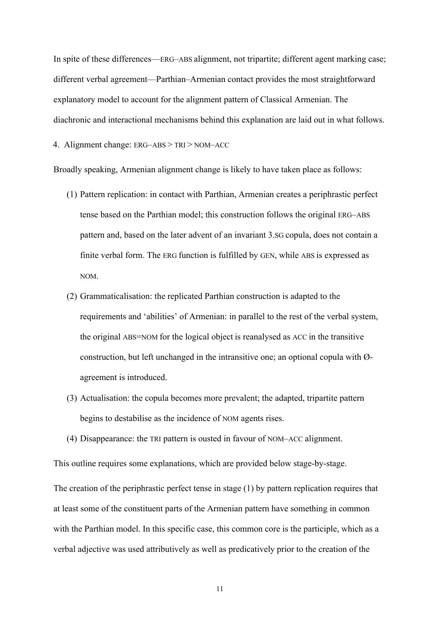In spite of these differences—ERG–ABS alignment, not tripartite; different agent marking case; different verbal agreement—Parthian–Armenian contact provides the most straightforward explanatory model to account for the alignment pattern of Classical Armenian. The diachronic and interactional mechanisms behind this explanation are laid out in what follows.

4. Alignment change: ERG–ABS > TRI > NOM–ACC

Broadly speaking, Armenian alignment change is likely to have taken place as follows:

- (1) Pattern replication: in contact with Parthian, Armenian creates a periphrastic perfect tense based on the Parthian model; this construction follows the original ERG–ABS pattern and, based on the later advent of an invariant 3.SG copula, does not contain a finite verbal form. The ERG function is fulfilled by GEN, while ABS is expressed as NOM.
- (2) Grammaticalisation: the replicated Parthian construction is adapted to the requirements and 'abilities' of Armenian: in parallel to the rest of the verbal system, the original ABS=NOM for the logical object is reanalysed as ACC in the transitive construction, but left unchanged in the intransitive one; an optional copula with Øagreement is introduced.
- (3) Actualisation: the copula becomes more prevalent; the adapted, tripartite pattern begins to destabilise as the incidence of NOM agents rises.
- (4) Disappearance: the TRI pattern is ousted in favour of NOM–ACC alignment.

This outline requires some explanations, which are provided below stage-by-stage.

The creation of the periphrastic perfect tense in stage (1) by pattern replication requires that at least some of the constituent parts of the Armenian pattern have something in common with the Parthian model. In this specific case, this common core is the participle, which as a verbal adjective was used attributively as well as predicatively prior to the creation of the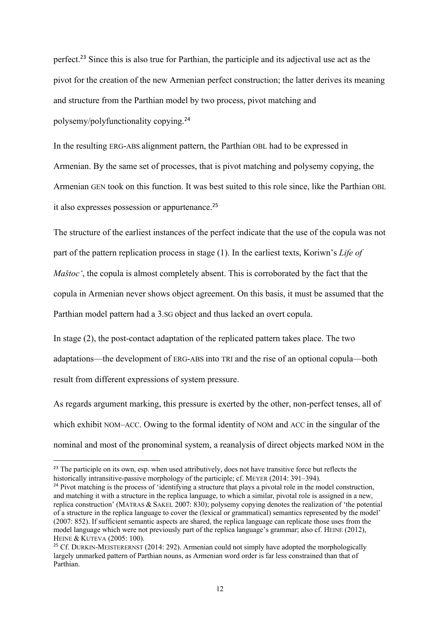perfect.<sup>23</sup> Since this is also true for Parthian, the participle and its adjectival use act as the pivot for the creation of the new Armenian perfect construction; the latter derives its meaning and structure from the Parthian model by two process, pivot matching and polysemy/polyfunctionality copying. 24

In the resulting ERG-ABS alignment pattern, the Parthian OBL had to be expressed in Armenian. By the same set of processes, that is pivot matching and polysemy copying, the Armenian GEN took on this function. It was best suited to this role since, like the Parthian OBL it also expresses possession or appurtenance.<sup>25</sup>

The structure of the earliest instances of the perfect indicate that the use of the copula was not part of the pattern replication process in stage (1). In the earliest texts, Koriwn's *Life of Maštoc'*, the copula is almost completely absent. This is corroborated by the fact that the copula in Armenian never shows object agreement. On this basis, it must be assumed that the Parthian model pattern had a 3.SG object and thus lacked an overt copula.

In stage (2), the post-contact adaptation of the replicated pattern takes place. The two adaptations—the development of ERG-ABS into TRI and the rise of an optional copula—both result from different expressions of system pressure.

As regards argument marking, this pressure is exerted by the other, non-perfect tenses, all of which exhibit NOM–ACC. Owing to the formal identity of NOM and ACC in the singular of the nominal and most of the pronominal system, a reanalysis of direct objects marked NOM in the

<sup>&</sup>lt;sup>23</sup> The participle on its own, esp. when used attributively, does not have transitive force but reflects the historically intransitive-passive morphology of the participle; cf. MEYER (2014: 391–394).

<sup>&</sup>lt;sup>24</sup> Pivot matching is the process of 'identifying a structure that plays a pivotal role in the model construction, and matching it with a structure in the replica language, to which a similar, pivotal role is assigned in a new, replica construction' (MATRAS & SAKEL 2007: 830); polysemy copying denotes the realization of 'the potential of a structure in the replica language to cover the (lexical or grammatical) semantics represented by the model' (2007: 852). If sufficient semantic aspects are shared, the replica language can replicate those uses from the model language which were not previously part of the replica language's grammar; also cf. HEINE (2012), HEINE & KUTEVA (2005: 100).

<sup>&</sup>lt;sup>25</sup> Cf. DURKIN-MEISTERERNST (2014: 292). Armenian could not simply have adopted the morphologically largely unmarked pattern of Parthian nouns, as Armenian word order is far less constrained than that of Parthian.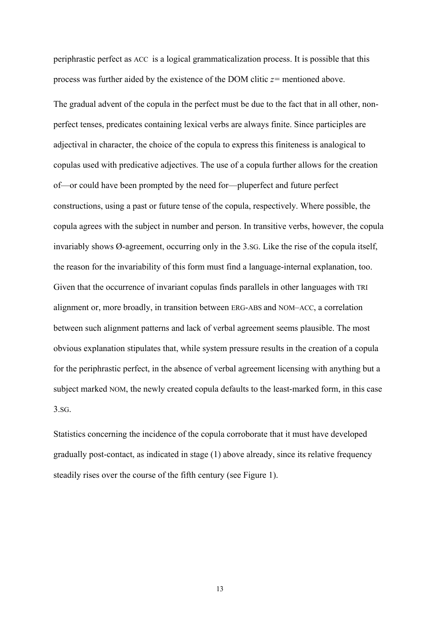periphrastic perfect as ACC is a logical grammaticalization process. It is possible that this process was further aided by the existence of the DOM clitic *z=* mentioned above.

The gradual advent of the copula in the perfect must be due to the fact that in all other, nonperfect tenses, predicates containing lexical verbs are always finite. Since participles are adjectival in character, the choice of the copula to express this finiteness is analogical to copulas used with predicative adjectives. The use of a copula further allows for the creation of—or could have been prompted by the need for—pluperfect and future perfect constructions, using a past or future tense of the copula, respectively. Where possible, the copula agrees with the subject in number and person. In transitive verbs, however, the copula invariably shows Ø-agreement, occurring only in the 3.SG. Like the rise of the copula itself, the reason for the invariability of this form must find a language-internal explanation, too. Given that the occurrence of invariant copulas finds parallels in other languages with TRI alignment or, more broadly, in transition between ERG-ABS and NOM–ACC, a correlation between such alignment patterns and lack of verbal agreement seems plausible. The most obvious explanation stipulates that, while system pressure results in the creation of a copula for the periphrastic perfect, in the absence of verbal agreement licensing with anything but a subject marked NOM, the newly created copula defaults to the least-marked form, in this case 3.SG.

Statistics concerning the incidence of the copula corroborate that it must have developed gradually post-contact, as indicated in stage (1) above already, since its relative frequency steadily rises over the course of the fifth century (see Figure 1).

13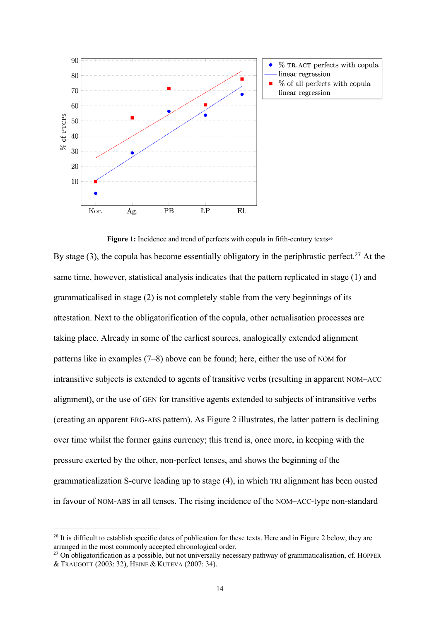

**Figure 1:** Incidence and trend of perfects with copula in fifth-century texts*<sup>26</sup>* By stage  $(3)$ , the copula has become essentially obligatory in the periphrastic perfect.<sup>27</sup> At the same time, however, statistical analysis indicates that the pattern replicated in stage (1) and grammaticalised in stage (2) is not completely stable from the very beginnings of its attestation. Next to the obligatorification of the copula, other actualisation processes are taking place. Already in some of the earliest sources, analogically extended alignment patterns like in examples (7–8) above can be found; here, either the use of NOM for intransitive subjects is extended to agents of transitive verbs (resulting in apparent NOM–ACC alignment), or the use of GEN for transitive agents extended to subjects of intransitive verbs (creating an apparent ERG-ABS pattern). As Figure 2 illustrates, the latter pattern is declining over time whilst the former gains currency; this trend is, once more, in keeping with the pressure exerted by the other, non-perfect tenses, and shows the beginning of the grammaticalization S-curve leading up to stage (4), in which TRI alignment has been ousted in favour of NOM-ABS in all tenses. The rising incidence of the NOM–ACC-type non-standard

<sup>&</sup>lt;sup>26</sup> It is difficult to establish specific dates of publication for these texts. Here and in Figure 2 below, they are arranged in the most commonly accepted chronological order.

<sup>&</sup>lt;sup>27</sup> On obligatorification as a possible, but not universally necessary pathway of grammaticalisation, cf. HOPPER & TRAUGOTT (2003: 32), HEINE & KUTEVA (2007: 34).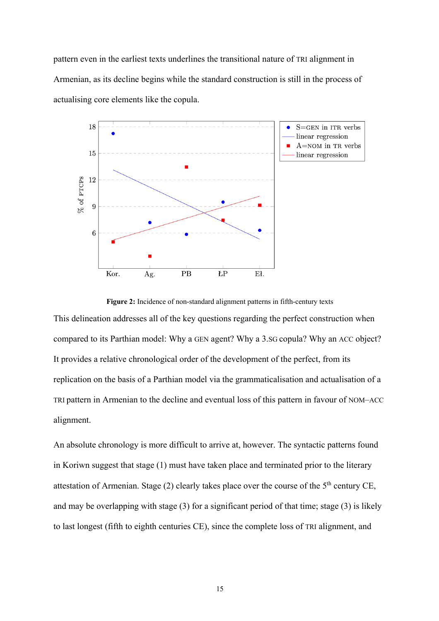pattern even in the earliest texts underlines the transitional nature of TRI alignment in Armenian, as its decline begins while the standard construction is still in the process of actualising core elements like the copula.



**Figure 2:** Incidence of non-standard alignment patterns in fifth-century texts This delineation addresses all of the key questions regarding the perfect construction when compared to its Parthian model: Why a GEN agent? Why a 3.SG copula? Why an ACC object? It provides a relative chronological order of the development of the perfect, from its replication on the basis of a Parthian model via the grammaticalisation and actualisation of a TRI pattern in Armenian to the decline and eventual loss of this pattern in favour of NOM–ACC alignment.

An absolute chronology is more difficult to arrive at, however. The syntactic patterns found in Koriwn suggest that stage (1) must have taken place and terminated prior to the literary attestation of Armenian. Stage  $(2)$  clearly takes place over the course of the  $5<sup>th</sup>$  century CE, and may be overlapping with stage (3) for a significant period of that time; stage (3) is likely to last longest (fifth to eighth centuries CE), since the complete loss of TRI alignment, and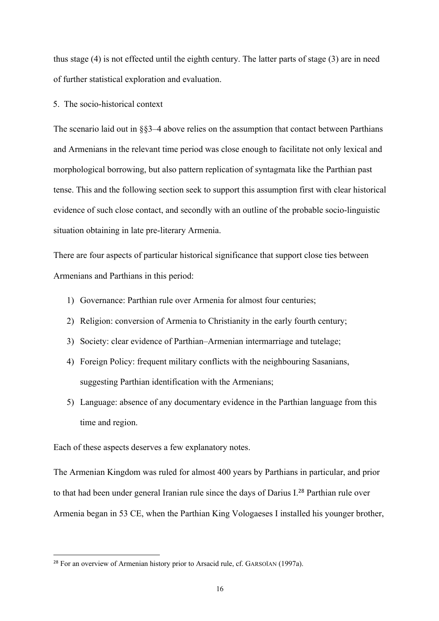thus stage (4) is not effected until the eighth century. The latter parts of stage (3) are in need of further statistical exploration and evaluation.

5. The socio-historical context

The scenario laid out in §§3–4 above relies on the assumption that contact between Parthians and Armenians in the relevant time period was close enough to facilitate not only lexical and morphological borrowing, but also pattern replication of syntagmata like the Parthian past tense. This and the following section seek to support this assumption first with clear historical evidence of such close contact, and secondly with an outline of the probable socio-linguistic situation obtaining in late pre-literary Armenia.

There are four aspects of particular historical significance that support close ties between Armenians and Parthians in this period:

- 1) Governance: Parthian rule over Armenia for almost four centuries;
- 2) Religion: conversion of Armenia to Christianity in the early fourth century;
- 3) Society: clear evidence of Parthian–Armenian intermarriage and tutelage;
- 4) Foreign Policy: frequent military conflicts with the neighbouring Sasanians, suggesting Parthian identification with the Armenians;
- 5) Language: absence of any documentary evidence in the Parthian language from this time and region.

Each of these aspects deserves a few explanatory notes.

The Armenian Kingdom was ruled for almost 400 years by Parthians in particular, and prior to that had been under general Iranian rule since the days of Darius I.<sup>28</sup> Parthian rule over Armenia began in 53 CE, when the Parthian King Vologaeses I installed his younger brother,

<sup>&</sup>lt;sup>28</sup> For an overview of Armenian history prior to Arsacid rule, cf. GARSOÏAN (1997a).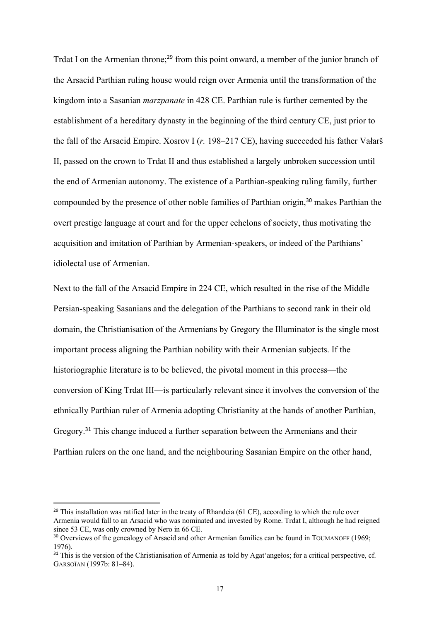Trdat I on the Armenian throne;<sup>29</sup> from this point onward, a member of the junior branch of the Arsacid Parthian ruling house would reign over Armenia until the transformation of the kingdom into a Sasanian *marzpanate* in 428 CE. Parthian rule is further cemented by the establishment of a hereditary dynasty in the beginning of the third century CE, just prior to the fall of the Arsacid Empire. Xosrov I (*r.* 198–217 CE), having succeeded his father Vałarš II, passed on the crown to Trdat II and thus established a largely unbroken succession until the end of Armenian autonomy. The existence of a Parthian-speaking ruling family, further compounded by the presence of other noble families of Parthian origin,<sup>30</sup> makes Parthian the overt prestige language at court and for the upper echelons of society, thus motivating the acquisition and imitation of Parthian by Armenian-speakers, or indeed of the Parthians' idiolectal use of Armenian.

Next to the fall of the Arsacid Empire in 224 CE, which resulted in the rise of the Middle Persian-speaking Sasanians and the delegation of the Parthians to second rank in their old domain, the Christianisation of the Armenians by Gregory the Illuminator is the single most important process aligning the Parthian nobility with their Armenian subjects. If the historiographic literature is to be believed, the pivotal moment in this process—the conversion of King Trdat III—is particularly relevant since it involves the conversion of the ethnically Parthian ruler of Armenia adopting Christianity at the hands of another Parthian, Gregory.<sup>31</sup> This change induced a further separation between the Armenians and their Parthian rulers on the one hand, and the neighbouring Sasanian Empire on the other hand,

 $29$  This installation was ratified later in the treaty of Rhandeia (61 CE), according to which the rule over Armenia would fall to an Arsacid who was nominated and invested by Rome. Trdat I, although he had reigned since 53 CE, was only crowned by Nero in 66 CE.

<sup>&</sup>lt;sup>30</sup> Overviews of the genealogy of Arsacid and other Armenian families can be found in TOUMANOFF (1969; 1976).

<sup>&</sup>lt;sup>31</sup> This is the version of the Christianisation of Armenia as told by Agat'angelos; for a critical perspective, cf. GARSOÏAN (1997b: 81–84).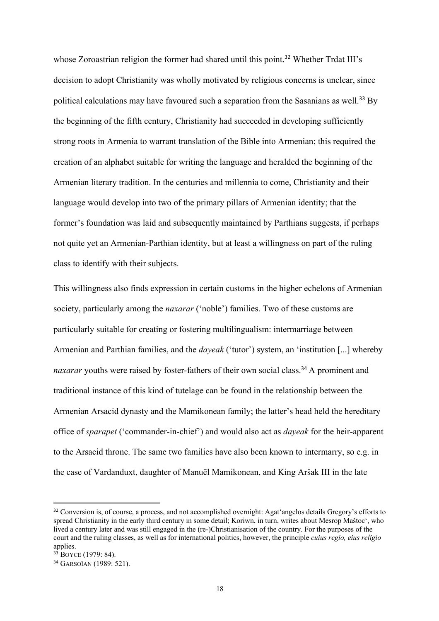whose Zoroastrian religion the former had shared until this point.<sup>32</sup> Whether Trdat III's decision to adopt Christianity was wholly motivated by religious concerns is unclear, since political calculations may have favoured such a separation from the Sasanians as well.<sup>33</sup> By the beginning of the fifth century, Christianity had succeeded in developing sufficiently strong roots in Armenia to warrant translation of the Bible into Armenian; this required the creation of an alphabet suitable for writing the language and heralded the beginning of the Armenian literary tradition. In the centuries and millennia to come, Christianity and their language would develop into two of the primary pillars of Armenian identity; that the former's foundation was laid and subsequently maintained by Parthians suggests, if perhaps not quite yet an Armenian-Parthian identity, but at least a willingness on part of the ruling class to identify with their subjects.

This willingness also finds expression in certain customs in the higher echelons of Armenian society, particularly among the *naxarar* ('noble') families. Two of these customs are particularly suitable for creating or fostering multilingualism: intermarriage between Armenian and Parthian families, and the *dayeak* ('tutor') system, an 'institution [...] whereby naxarar youths were raised by foster-fathers of their own social class.<sup>34</sup> A prominent and traditional instance of this kind of tutelage can be found in the relationship between the Armenian Arsacid dynasty and the Mamikonean family; the latter's head held the hereditary office of *sparapet* ('commander-in-chief') and would also act as *dayeak* for the heir-apparent to the Arsacid throne. The same two families have also been known to intermarry, so e.g. in the case of Vardanduxt, daughter of Manuēl Mamikonean, and King Aršak III in the late

<sup>&</sup>lt;sup>32</sup> Conversion is, of course, a process, and not accomplished overnight: Agat'angelos details Gregory's efforts to spread Christianity in the early third century in some detail; Koriwn, in turn, writes about Mesrop Maštoc', who lived a century later and was still engaged in the (re-)Christianisation of the country. For the purposes of the court and the ruling classes, as well as for international politics, however, the principle *cuius regio, eius religio* applies.

 $3\overline{3}$  BOYCE (1979: 84).

<sup>34</sup> GARSOÏAN (1989: 521).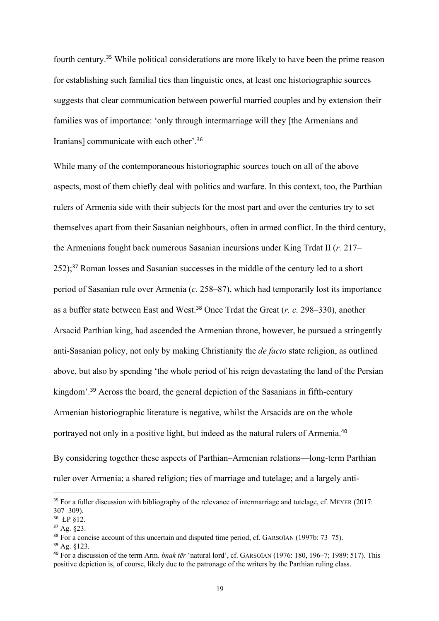fourth century.<sup>35</sup> While political considerations are more likely to have been the prime reason for establishing such familial ties than linguistic ones, at least one historiographic sources suggests that clear communication between powerful married couples and by extension their families was of importance: 'only through intermarriage will they [the Armenians and Iranians] communicate with each other'.<sup>36</sup>

While many of the contemporaneous historiographic sources touch on all of the above aspects, most of them chiefly deal with politics and warfare. In this context, too, the Parthian rulers of Armenia side with their subjects for the most part and over the centuries try to set themselves apart from their Sasanian neighbours, often in armed conflict. In the third century, the Armenians fought back numerous Sasanian incursions under King Trdat II (*r.* 217– 252);<sup>37</sup> Roman losses and Sasanian successes in the middle of the century led to a short period of Sasanian rule over Armenia (*c.* 258–87), which had temporarily lost its importance as a buffer state between East and West.<sup>38</sup> Once Trdat the Great (*r. c.* 298–330), another Arsacid Parthian king, had ascended the Armenian throne, however, he pursued a stringently anti-Sasanian policy, not only by making Christianity the *de facto* state religion, as outlined above, but also by spending 'the whole period of his reign devastating the land of the Persian kingdom'.<sup>39</sup> Across the board, the general depiction of the Sasanians in fifth-century Armenian historiographic literature is negative, whilst the Arsacids are on the whole portrayed not only in a positive light, but indeed as the natural rulers of Armenia.<sup>40</sup>

By considering together these aspects of Parthian–Armenian relations—long-term Parthian ruler over Armenia; a shared religion; ties of marriage and tutelage; and a largely anti-

<sup>&</sup>lt;sup>35</sup> For a fuller discussion with bibliography of the relevance of intermarriage and tutelage, cf. MEYER (2017: 307–309).

<sup>36</sup> ŁP §12.

 $37$  Ag.  $823$ .

<sup>38</sup> For a concise account of this uncertain and disputed time period, cf. GARSOÏAN (1997b: 73–75).

<sup>39</sup> Ag. §123.

<sup>40</sup> For a discussion of the term Arm. *bnak tēr* 'natural lord', cf. GARSOÏAN (1976: 180, 196–7; 1989: 517). This positive depiction is, of course, likely due to the patronage of the writers by the Parthian ruling class.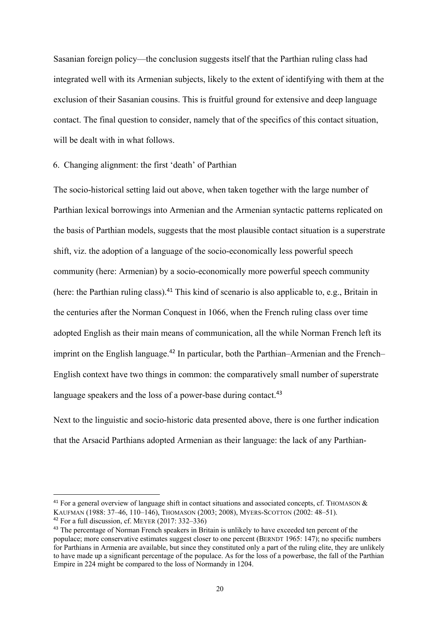Sasanian foreign policy—the conclusion suggests itself that the Parthian ruling class had integrated well with its Armenian subjects, likely to the extent of identifying with them at the exclusion of their Sasanian cousins. This is fruitful ground for extensive and deep language contact. The final question to consider, namely that of the specifics of this contact situation, will be dealt with in what follows.

6. Changing alignment: the first 'death' of Parthian

The socio-historical setting laid out above, when taken together with the large number of Parthian lexical borrowings into Armenian and the Armenian syntactic patterns replicated on the basis of Parthian models, suggests that the most plausible contact situation is a superstrate shift, viz. the adoption of a language of the socio-economically less powerful speech community (here: Armenian) by a socio-economically more powerful speech community (here: the Parthian ruling class).<sup>41</sup> This kind of scenario is also applicable to, e.g., Britain in the centuries after the Norman Conquest in 1066, when the French ruling class over time adopted English as their main means of communication, all the while Norman French left its imprint on the English language.<sup>42</sup> In particular, both the Parthian–Armenian and the French– English context have two things in common: the comparatively small number of superstrate language speakers and the loss of a power-base during contact.<sup>43</sup>

Next to the linguistic and socio-historic data presented above, there is one further indication that the Arsacid Parthians adopted Armenian as their language: the lack of any Parthian-

<sup>&</sup>lt;sup>41</sup> For a general overview of language shift in contact situations and associated concepts, cf. THOMASON  $\&$ KAUFMAN (1988: 37–46, 110–146), THOMASON (2003; 2008), MYERS-SCOTTON (2002: 48–51).

 $42$  For a full discussion, cf. MEYER (2017: 332–336)

<sup>&</sup>lt;sup>43</sup> The percentage of Norman French speakers in Britain is unlikely to have exceeded ten percent of the populace; more conservative estimates suggest closer to one percent (BERNDT 1965: 147); no specific numbers for Parthians in Armenia are available, but since they constituted only a part of the ruling elite, they are unlikely to have made up a significant percentage of the populace. As for the loss of a powerbase, the fall of the Parthian Empire in 224 might be compared to the loss of Normandy in 1204.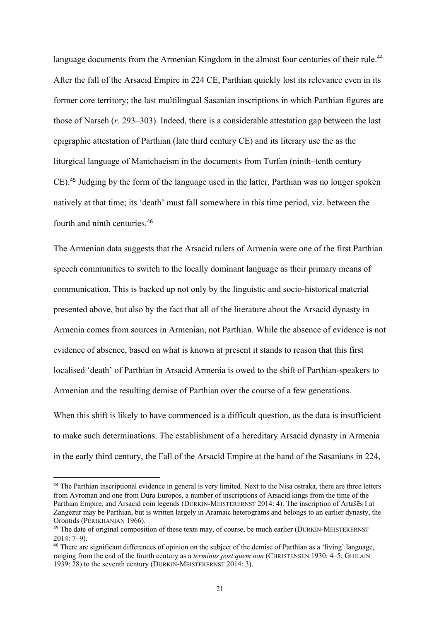language documents from the Armenian Kingdom in the almost four centuries of their rule.<sup>44</sup> After the fall of the Arsacid Empire in 224 CE, Parthian quickly lost its relevance even in its former core territory; the last multilingual Sasanian inscriptions in which Parthian figures are those of Narseh (*r.* 293–303). Indeed, there is a considerable attestation gap between the last epigraphic attestation of Parthian (late third century CE) and its literary use the as the liturgical language of Manichaeism in the documents from Turfan (ninth–tenth century CE).<sup>45</sup> Judging by the form of the language used in the latter, Parthian was no longer spoken natively at that time; its 'death' must fall somewhere in this time period, viz. between the fourth and ninth centuries.<sup>46</sup>

The Armenian data suggests that the Arsacid rulers of Armenia were one of the first Parthian speech communities to switch to the locally dominant language as their primary means of communication. This is backed up not only by the linguistic and socio-historical material presented above, but also by the fact that all of the literature about the Arsacid dynasty in Armenia comes from sources in Armenian, not Parthian. While the absence of evidence is not evidence of absence, based on what is known at present it stands to reason that this first localised 'death' of Parthian in Arsacid Armenia is owed to the shift of Parthian-speakers to Armenian and the resulting demise of Parthian over the course of a few generations.

When this shift is likely to have commenced is a difficult question, as the data is insufficient to make such determinations. The establishment of a hereditary Arsacid dynasty in Armenia in the early third century, the Fall of the Arsacid Empire at the hand of the Sasanians in 224,

<sup>&</sup>lt;sup>44</sup> The Parthian inscriptional evidence in general is very limited. Next to the Nisa ostraka, there are three letters from Avroman and one from Dura Europos, a number of inscriptions of Arsacid kings from the time of the Parthian Empire, and Arsacid coin legends (DURKIN-MEISTERERNST 2014: 4). The inscription of Artašēs I at Zangezur may be Parthian, but is written largely in Aramaic heterograms and belongs to an earlier dynasty, the Orontids (PÉRIKHANIAN 1966).

<sup>&</sup>lt;sup>45</sup> The date of original composition of these texts may, of course, be much earlier (DURKIN-MEISTERERNST) 2014: 7–9).

<sup>46</sup> There are significant differences of opinion on the subject of the demise of Parthian as a 'living' language, ranging from the end of the fourth century as a *terminus post quem non* (CHRISTENSEN 1930: 4–5; GHILAIN 1939: 28) to the seventh century (DURKIN-MEISTERERNST 2014: 3).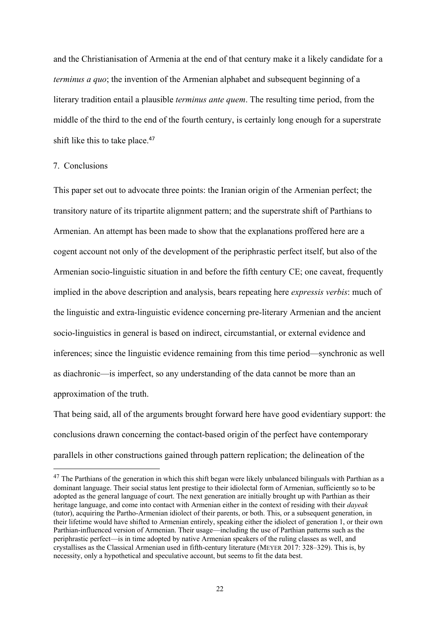and the Christianisation of Armenia at the end of that century make it a likely candidate for a *terminus a quo*; the invention of the Armenian alphabet and subsequent beginning of a literary tradition entail a plausible *terminus ante quem*. The resulting time period, from the middle of the third to the end of the fourth century, is certainly long enough for a superstrate shift like this to take place.<sup>47</sup>

7. Conclusions

This paper set out to advocate three points: the Iranian origin of the Armenian perfect; the transitory nature of its tripartite alignment pattern; and the superstrate shift of Parthians to Armenian. An attempt has been made to show that the explanations proffered here are a cogent account not only of the development of the periphrastic perfect itself, but also of the Armenian socio-linguistic situation in and before the fifth century CE; one caveat, frequently implied in the above description and analysis, bears repeating here *expressis verbis*: much of the linguistic and extra-linguistic evidence concerning pre-literary Armenian and the ancient socio-linguistics in general is based on indirect, circumstantial, or external evidence and inferences; since the linguistic evidence remaining from this time period—synchronic as well as diachronic—is imperfect, so any understanding of the data cannot be more than an approximation of the truth.

That being said, all of the arguments brought forward here have good evidentiary support: the conclusions drawn concerning the contact-based origin of the perfect have contemporary parallels in other constructions gained through pattern replication; the delineation of the

 $47$  The Parthians of the generation in which this shift began were likely unbalanced bilinguals with Parthian as a dominant language. Their social status lent prestige to their idiolectal form of Armenian, sufficiently so to be adopted as the general language of court. The next generation are initially brought up with Parthian as their heritage language, and come into contact with Armenian either in the context of residing with their *dayeak* (tutor), acquiring the Partho-Armenian idiolect of their parents, or both. This, or a subsequent generation, in their lifetime would have shifted to Armenian entirely, speaking either the idiolect of generation 1, or their own Parthian-influenced version of Armenian. Their usage—including the use of Parthian patterns such as the periphrastic perfect—is in time adopted by native Armenian speakers of the ruling classes as well, and crystallises as the Classical Armenian used in fifth-century literature (MEYER 2017: 328–329). This is, by necessity, only a hypothetical and speculative account, but seems to fit the data best.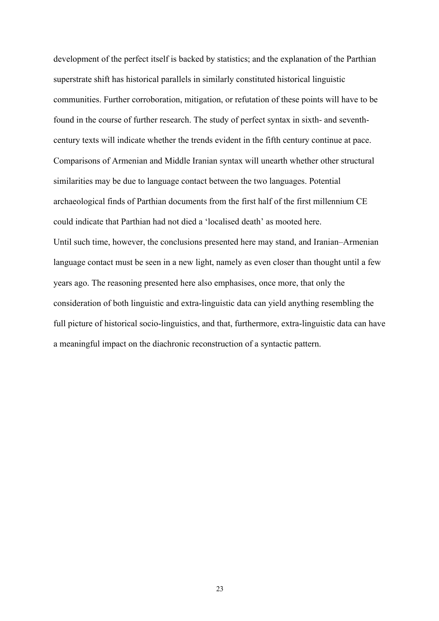development of the perfect itself is backed by statistics; and the explanation of the Parthian superstrate shift has historical parallels in similarly constituted historical linguistic communities. Further corroboration, mitigation, or refutation of these points will have to be found in the course of further research. The study of perfect syntax in sixth- and seventhcentury texts will indicate whether the trends evident in the fifth century continue at pace. Comparisons of Armenian and Middle Iranian syntax will unearth whether other structural similarities may be due to language contact between the two languages. Potential archaeological finds of Parthian documents from the first half of the first millennium CE could indicate that Parthian had not died a 'localised death' as mooted here. Until such time, however, the conclusions presented here may stand, and Iranian–Armenian language contact must be seen in a new light, namely as even closer than thought until a few years ago. The reasoning presented here also emphasises, once more, that only the consideration of both linguistic and extra-linguistic data can yield anything resembling the full picture of historical socio-linguistics, and that, furthermore, extra-linguistic data can have a meaningful impact on the diachronic reconstruction of a syntactic pattern.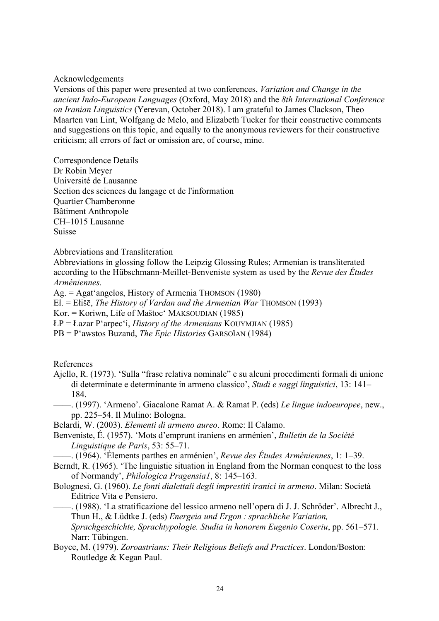## Acknowledgements

Versions of this paper were presented at two conferences, *Variation and Change in the ancient Indo-European Languages* (Oxford, May 2018) and the *8th International Conference on Iranian Linguistics* (Yerevan, October 2018). I am grateful to James Clackson, Theo Maarten van Lint, Wolfgang de Melo, and Elizabeth Tucker for their constructive comments and suggestions on this topic, and equally to the anonymous reviewers for their constructive criticism; all errors of fact or omission are, of course, mine.

Correspondence Details Dr Robin Meyer Université de Lausanne Section des sciences du langage et de l'information Quartier Chamberonne Bâtiment Anthropole CH–1015 Lausanne Suisse

Abbreviations and Transliteration

Abbreviations in glossing follow the Leipzig Glossing Rules; Armenian is transliterated according to the Hübschmann-Meillet-Benveniste system as used by the *Revue des Études Arméniennes.*

Ag. = Agat'angełos, History of Armenia THOMSON (1980)

Eł. = Ełišē, *The History of Vardan and the Armenian War* THOMSON (1993)

Kor. = Koriwn, Life of Maštoc' MAKSOUDIAN (1985)

ŁP = Łazar P'arpec'i, *History of the Armenians* KOUYMJIAN (1985)

PB = P'awstos Buzand, *The Epic Histories* GARSOÏAN (1984)

References

- Ajello, R. (1973). 'Sulla "frase relativa nominale" e su alcuni procedimenti formali di unione di determinate e determinante in armeno classico', *Studi e saggi linguistici*, 13: 141– 184.
- ——. (1997). 'Armeno'. Giacalone Ramat A. & Ramat P. (eds) *Le lingue indoeuropee*, new., pp. 225–54. Il Mulino: Bologna.

Belardi, W. (2003). *Elementi di armeno aureo*. Rome: Il Calamo.

Benveniste, É. (1957). 'Mots d'emprunt iraniens en arménien', *Bulletin de la Société Linguistique de Paris*, 53: 55–71.

——. (1964). 'Élements parthes en arménien', *Revue des Études Arméniennes*, 1: 1–39.

Berndt, R. (1965). 'The linguistic situation in England from the Norman conquest to the loss of Normandy', *Philologica Pragensia1*, 8: 145–163.

Bolognesi, G. (1960). *Le fonti dialettali degli imprestiti iranici in armeno*. Milan: Società Editrice Vita e Pensiero.

——. (1988). 'La stratificazione del lessico armeno nell'opera di J. J. Schröder'. Albrecht J., Thun H., & Lüdtke J. (eds) *Energeia und Ergon : sprachliche Variation, Sprachgeschichte, Sprachtypologie. Studia in honorem Eugenio Coseriu*, pp. 561–571. Narr: Tübingen.

Boyce, M. (1979). *Zoroastrians: Their Religious Beliefs and Practices*. London/Boston: Routledge & Kegan Paul.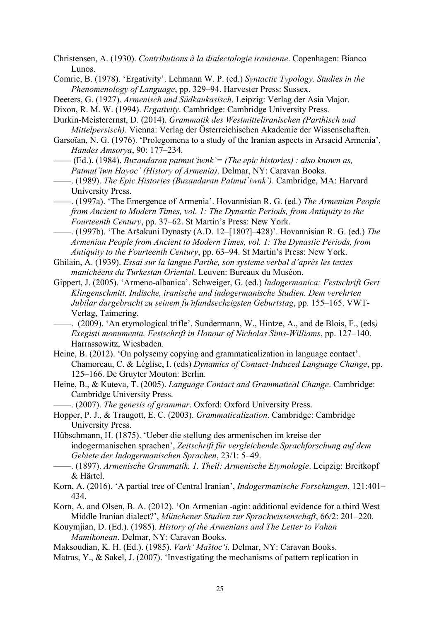Christensen, A. (1930). *Contributions à la dialectologie iranienne*. Copenhagen: Bianco Lunos.

Comrie, B. (1978). 'Ergativity'. Lehmann W. P. (ed.) *Syntactic Typology. Studies in the Phenomenology of Language*, pp. 329–94. Harvester Press: Sussex.

Deeters, G. (1927). *Armenisch und Südkaukasisch*. Leipzig: Verlag der Asia Major.

Dixon, R. M. W. (1994). *Ergativity*. Cambridge: Cambridge University Press.

Durkin-Meisterernst, D. (2014). *Grammatik des Westmitteliranischen (Parthisch und Mittelpersisch)*. Vienna: Verlag der Österreichischen Akademie der Wissenschaften.

Garsoïan, N. G. (1976). 'Prolegomena to a study of the Iranian aspects in Arsacid Armenia', *Handes Amsorya*, 90: 177–234.

—— (Ed.). (1984). *Buzandaran patmutʿiwnkʿ= (The epic histories) : also known as, Patmutʿiwn Hayocʿ (History of Armenia)*. Delmar, NY: Caravan Books.

——. (1989). *The Epic Histories (Buzandaran Patmut`iwnk`)*. Cambridge, MA: Harvard University Press.

——. (1997a). 'The Emergence of Armenia'. Hovannisian R. G. (ed.) *The Armenian People from Ancient to Modern Times, vol. 1: The Dynastic Periods, from Antiquity to the Fourteenth Century*, pp. 37–62. St Martin's Press: New York.

——. (1997b). 'The Aršakuni Dynasty (A.D. 12–[180?]–428)'. Hovannisian R. G. (ed.) *The Armenian People from Ancient to Modern Times, vol. 1: The Dynastic Periods, from Antiquity to the Fourteenth Century*, pp. 63–94. St Martin's Press: New York.

Ghilain, A. (1939). *Essai sur la langue Parthe, son systeme verbal d'après les textes manichéens du Turkestan Oriental*. Leuven: Bureaux du Muséon.

Gippert, J. (2005). 'Armeno-albanica'. Schweiger, G. (ed.) *Indogermanica: Festschrift Gert Klingenschmitt. Indische, iranische und indogermanische Studien. Dem verehrten Jubilar dargebracht zu seinem fu ̈nfundsechzigsten Geburtstag*, pp. 155–165. VWT-Verlag, Taimering.

——. (2009). 'An etymological trifle'. Sundermann, W., Hintze, A., and de Blois, F., (eds*) Exegisti monumenta. Festschrift in Honour of Nicholas Sims-Williams*, pp. 127–140. Harrassowitz, Wiesbaden.

Heine, B. (2012). 'On polysemy copying and grammaticalization in language contact'. Chamoreau, C. & Léglise, I. (eds) *Dynamics of Contact-Induced Language Change*, pp. 125–166. De Gruyter Mouton: Berlin.

Heine, B., & Kuteva, T. (2005). *Language Contact and Grammatical Change*. Cambridge: Cambridge University Press.

——. (2007). *The genesis of grammar*. Oxford: Oxford University Press.

Hopper, P. J., & Traugott, E. C. (2003). *Grammaticalization*. Cambridge: Cambridge University Press.

Hübschmann, H. (1875). 'Ueber die stellung des armenischen im kreise der indogermanischen sprachen', *Zeitschrift für vergleichende Sprachforschung auf dem Gebiete der Indogermanischen Sprachen*, 23/1: 5–49.

- ——. (1897). *Armenische Grammatik. 1. Theil: Armenische Etymologie*. Leipzig: Breitkopf & Härtel.
- Korn, A. (2016). 'A partial tree of Central Iranian', *Indogermanische Forschungen*, 121:401– 434.
- Korn, A. and Olsen, B. A. (2012). 'On Armenian -agin: additional evidence for a third West Middle Iranian dialect?', *Münchener Studien zur Sprachwissenschaft*, 66/2: 201–220.
- Kouymjian, D. (Ed.). (1985). *History of the Armenians and The Letter to Vahan Mamikonean*. Delmar, NY: Caravan Books.
- Maksoudian, K. H. (Ed.). (1985). *Vark' Maštoc'i*. Delmar, NY: Caravan Books.
- Matras, Y., & Sakel, J. (2007). 'Investigating the mechanisms of pattern replication in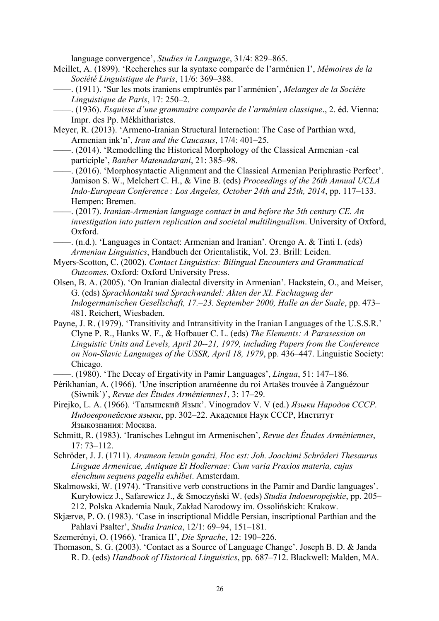language convergence', *Studies in Language*, 31/4: 829–865.

- Meillet, A. (1899). 'Recherches sur la syntaxe comparée de l'arménien I', *Mémoires de la Société Linguistique de Paris*, 11/6: 369–388.
- ——. (1911). 'Sur les mots iraniens emptruntés par l'arménien', *Melanges de la Sociéte Linguistique de Paris*, 17: 250–2.
- ——. (1936). *Esquisse d'une grammaire comparée de l'arménien classique*., 2. éd. Vienna: Impr. des Pp. Mékhitharistes.
- Meyer, R. (2013). 'Armeno-Iranian Structural Interaction: The Case of Parthian wxd, Armenian ink'n', *Iran and the Caucasus*, 17/4: 401–25.
- ——. (2014). 'Remodelling the Historical Morphology of the Classical Armenian -eal participle', *Banber Matenadarani*, 21: 385–98.
- ——. (2016). 'Morphosyntactic Alignment and the Classical Armenian Periphrastic Perfect'. Jamison S. W., Melchert C. H., & Vine B. (eds) *Proceedings of the 26th Annual UCLA Indo-European Conference : Los Angeles, October 24th and 25th, 2014*, pp. 117–133. Hempen: Bremen.
- ——. (2017). *Iranian-Armenian language contact in and before the 5th century CE. An investigation into pattern replication and societal multilingualism*. University of Oxford, Oxford.
- ——. (n.d.). 'Languages in Contact: Armenian and Iranian'. Orengo A. & Tinti I. (eds) *Armenian Linguistics*, Handbuch der Orientalistik, Vol. 23. Brill: Leiden.
- Myers-Scotton, C. (2002). *Contact Linguistics: Bilingual Encounters and Grammatical Outcomes*. Oxford: Oxford University Press.
- Olsen, B. A. (2005). 'On Iranian dialectal diversity in Armenian'. Hackstein, O., and Meiser, G. (eds) *Sprachkontakt und Sprachwandel: Akten der XI. Fachtagung der Indogermanischen Gesellschaft, 17.–23. September 2000, Halle an der Saale*, pp. 473– 481. Reichert, Wiesbaden.
- Payne, J. R. (1979). 'Transitivity and Intransitivity in the Iranian Languages of the U.S.S.R.' Clyne P. R., Hanks W. F., & Hofbauer C. L. (eds) *The Elements: A Parasession on Linguistic Units and Levels, April 20--21, 1979, including Papers from the Conference on Non-Slavic Languages of the USSR, April 18, 1979*, pp. 436–447. Linguistic Society: Chicago.
- ——. (1980). 'The Decay of Ergativity in Pamir Languages', *Lingua*, 51: 147–186.
- Périkhanian, A. (1966). 'Une inscription araméenne du roi Artašēs trouvée à Zanguézour (Siwnik`)', *Revue des Études Arméniennes1*, 3: 17–29.
- Pirejko, L. A. (1966). 'Талышский Язык'. Vinogradov V. V (ed.) *Языки Народов СССР. Индоевропейские языки*, pp. 302–22. Академия Наук СССР, Институт Языкознания: Москва.
- Schmitt, R. (1983). 'Iranisches Lehngut im Armenischen', *Revue des Études Arméniennes*, 17: 73–112.
- Schröder, J. J. (1711). *Aramean lezuin gandzi, Hoc est: Joh. Joachimi Schröderi Thesaurus Linguae Armenicae, Antiquae Et Hodiernae: Cum varia Praxios materia, cujus elenchum sequens pagella exhibet*. Amsterdam.
- Skalmowski, W. (1974). 'Transitive verb constructions in the Pamir and Dardic languages'. Kuryłowicz J., Safarewicz J., & Smoczyński W. (eds) *Studia Indoeuropejskie*, pp. 205– 212. Polska Akademia Nauk, Zakład Narodowy im. Ossolińskich: Krakow.
- Skjærvø, P. O. (1983). 'Case in inscriptional Middle Persian, inscriptional Parthian and the Pahlavi Psalter', *Studia Iranica*, 12/1: 69–94, 151–181.
- Szemerényi, O. (1966). 'Iranica II', *Die Sprache*, 12: 190–226.
- Thomason, S. G. (2003). 'Contact as a Source of Language Change'. Joseph B. D. & Janda R. D. (eds) *Handbook of Historical Linguistics*, pp. 687–712. Blackwell: Malden, MA.